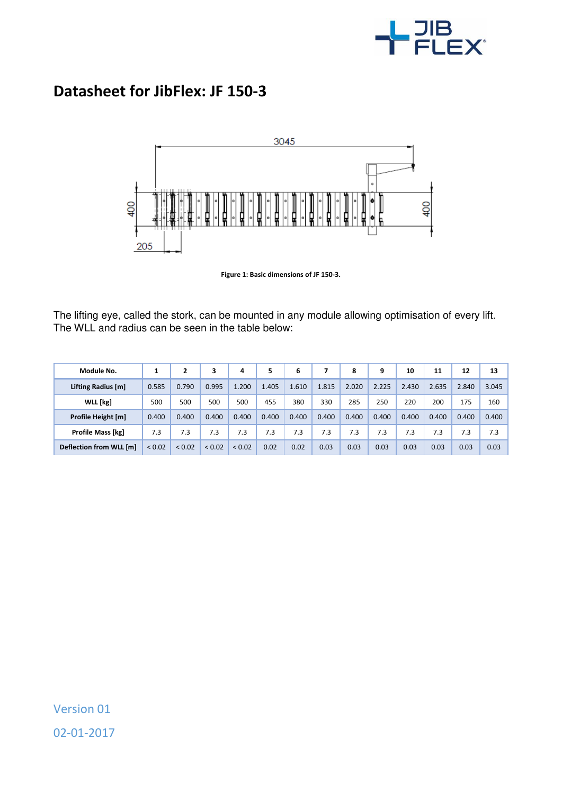

## **Datasheet for JibFlex: JF 150-3**



**Figure 1: Basic dimensions of JF 150-3.** 

The lifting eye, called the stork, can be mounted in any module allowing optimisation of every lift. The WLL and radius can be seen in the table below:

| Module No.               |             |        | 3           | 4      | 5     | 6     |       | 8     | 9     | 10    | 11    | 12    | 13    |
|--------------------------|-------------|--------|-------------|--------|-------|-------|-------|-------|-------|-------|-------|-------|-------|
| Lifting Radius [m]       | 0.585       | 0.790  | 0.995       | 1.200  | 1.405 | 1.610 | 1.815 | 2.020 | 2.225 | 2.430 | 2.635 | 2.840 | 3.045 |
| WLL [kg]                 | 500         | 500    | 500         | 500    | 455   | 380   | 330   | 285   | 250   | 220   | 200   | 175   | 160   |
| Profile Height [m]       | 0.400       | 0.400  | 0.400       | 0.400  | 0.400 | 0.400 | 0.400 | 0.400 | 0.400 | 0.400 | 0.400 | 0.400 | 0.400 |
| <b>Profile Mass [kg]</b> | 7.3         | 7.3    | 7.3         | 7.3    | 7.3   | 7.3   | 7.3   | 7.3   | 7.3   | 7.3   | 7.3   | 7.3   | 7.3   |
| Deflection from WLL [m]  | ${}_{0.02}$ | < 0.02 | ${}_{0.02}$ | < 0.02 | 0.02  | 0.02  | 0.03  | 0.03  | 0.03  | 0.03  | 0.03  | 0.03  | 0.03  |